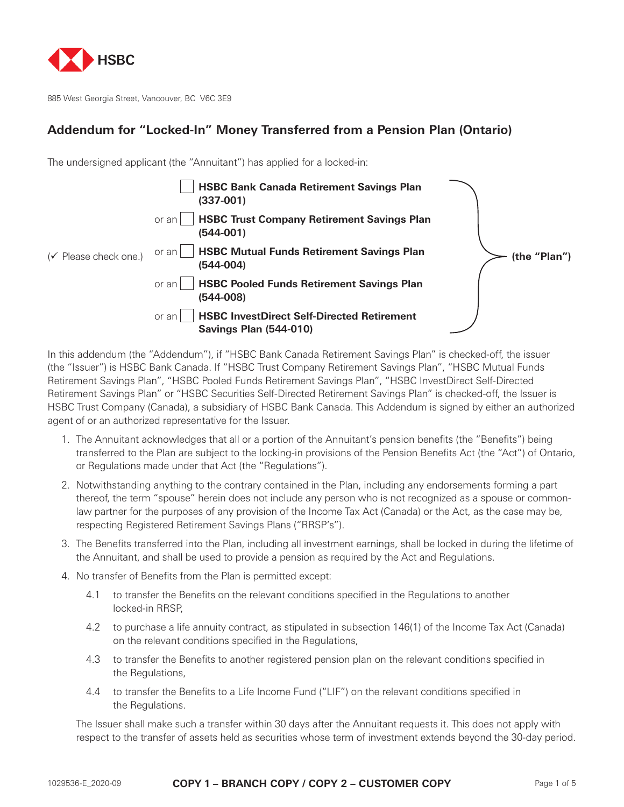

885 West Georgia Street, Vancouver, BC V6C 3E9

## **Addendum for "Locked-In" Money Transferred from a Pension Plan (Ontario)**

The undersigned applicant (the "Annuitant") has applied for a locked-in:



In this addendum (the "Addendum"), if "HSBC Bank Canada Retirement Savings Plan" is checked-off, the issuer (the "Issuer") is HSBC Bank Canada. If "HSBC Trust Company Retirement Savings Plan", "HSBC Mutual Funds Retirement Savings Plan", "HSBC Pooled Funds Retirement Savings Plan", "HSBC InvestDirect Self-Directed Retirement Savings Plan" or "HSBC Securities Self-Directed Retirement Savings Plan" is checked-off, the Issuer is HSBC Trust Company (Canada), a subsidiary of HSBC Bank Canada. This Addendum is signed by either an authorized agent of or an authorized representative for the Issuer.

- 1. The Annuitant acknowledges that all or a portion of the Annuitant's pension benefits (the "Benefits") being transferred to the Plan are subject to the locking-in provisions of the Pension Benefits Act (the "Act") of Ontario, or Regulations made under that Act (the "Regulations").
- 2. Notwithstanding anything to the contrary contained in the Plan, including any endorsements forming a part thereof, the term "spouse" herein does not include any person who is not recognized as a spouse or commonlaw partner for the purposes of any provision of the Income Tax Act (Canada) or the Act, as the case may be, respecting Registered Retirement Savings Plans ("RRSP's").
- 3. The Benefits transferred into the Plan, including all investment earnings, shall be locked in during the lifetime of the Annuitant, and shall be used to provide a pension as required by the Act and Regulations.
- 4. No transfer of Benefits from the Plan is permitted except:
	- 4.1 to transfer the Benefits on the relevant conditions specified in the Regulations to another locked-in RRSP,
	- 4.2 to purchase a life annuity contract, as stipulated in subsection 146(1) of the Income Tax Act (Canada) on the relevant conditions specified in the Regulations,
	- 4.3 to transfer the Benefits to another registered pension plan on the relevant conditions specified in the Regulations,
	- 4.4 to transfer the Benefits to a Life Income Fund ("LIF") on the relevant conditions specified in the Regulations.

The Issuer shall make such a transfer within 30 days after the Annuitant requests it. This does not apply with respect to the transfer of assets held as securities whose term of investment extends beyond the 30-day period.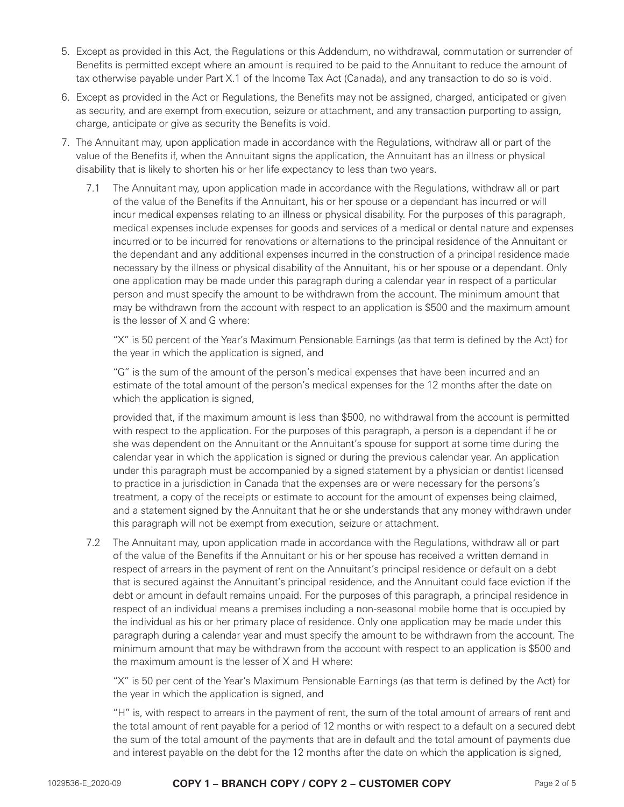- 5. Except as provided in this Act, the Regulations or this Addendum, no withdrawal, commutation or surrender of Benefits is permitted except where an amount is required to be paid to the Annuitant to reduce the amount of tax otherwise payable under Part X.1 of the Income Tax Act (Canada), and any transaction to do so is void.
- 6. Except as provided in the Act or Regulations, the Benefits may not be assigned, charged, anticipated or given as security, and are exempt from execution, seizure or attachment, and any transaction purporting to assign, charge, anticipate or give as security the Benefits is void.
- 7. The Annuitant may, upon application made in accordance with the Regulations, withdraw all or part of the value of the Benefits if, when the Annuitant signs the application, the Annuitant has an illness or physical disability that is likely to shorten his or her life expectancy to less than two years.
	- 7.1 The Annuitant may, upon application made in accordance with the Regulations, withdraw all or part of the value of the Benefits if the Annuitant, his or her spouse or a dependant has incurred or will incur medical expenses relating to an illness or physical disability. For the purposes of this paragraph, medical expenses include expenses for goods and services of a medical or dental nature and expenses incurred or to be incurred for renovations or alternations to the principal residence of the Annuitant or the dependant and any additional expenses incurred in the construction of a principal residence made necessary by the illness or physical disability of the Annuitant, his or her spouse or a dependant. Only one application may be made under this paragraph during a calendar year in respect of a particular person and must specify the amount to be withdrawn from the account. The minimum amount that may be withdrawn from the account with respect to an application is \$500 and the maximum amount is the lesser of X and G where:

"X" is 50 percent of the Year's Maximum Pensionable Earnings (as that term is defined by the Act) for the year in which the application is signed, and

"G" is the sum of the amount of the person's medical expenses that have been incurred and an estimate of the total amount of the person's medical expenses for the 12 months after the date on which the application is signed,

provided that, if the maximum amount is less than \$500, no withdrawal from the account is permitted with respect to the application. For the purposes of this paragraph, a person is a dependant if he or she was dependent on the Annuitant or the Annuitant's spouse for support at some time during the calendar year in which the application is signed or during the previous calendar year. An application under this paragraph must be accompanied by a signed statement by a physician or dentist licensed to practice in a jurisdiction in Canada that the expenses are or were necessary for the persons's treatment, a copy of the receipts or estimate to account for the amount of expenses being claimed, and a statement signed by the Annuitant that he or she understands that any money withdrawn under this paragraph will not be exempt from execution, seizure or attachment.

7.2 The Annuitant may, upon application made in accordance with the Regulations, withdraw all or part of the value of the Benefits if the Annuitant or his or her spouse has received a written demand in respect of arrears in the payment of rent on the Annuitant's principal residence or default on a debt that is secured against the Annuitant's principal residence, and the Annuitant could face eviction if the debt or amount in default remains unpaid. For the purposes of this paragraph, a principal residence in respect of an individual means a premises including a non-seasonal mobile home that is occupied by the individual as his or her primary place of residence. Only one application may be made under this paragraph during a calendar year and must specify the amount to be withdrawn from the account. The minimum amount that may be withdrawn from the account with respect to an application is \$500 and the maximum amount is the lesser of X and H where:

"X" is 50 per cent of the Year's Maximum Pensionable Earnings (as that term is defined by the Act) for the year in which the application is signed, and

"H" is, with respect to arrears in the payment of rent, the sum of the total amount of arrears of rent and the total amount of rent payable for a period of 12 months or with respect to a default on a secured debt the sum of the total amount of the payments that are in default and the total amount of payments due and interest payable on the debt for the 12 months after the date on which the application is signed,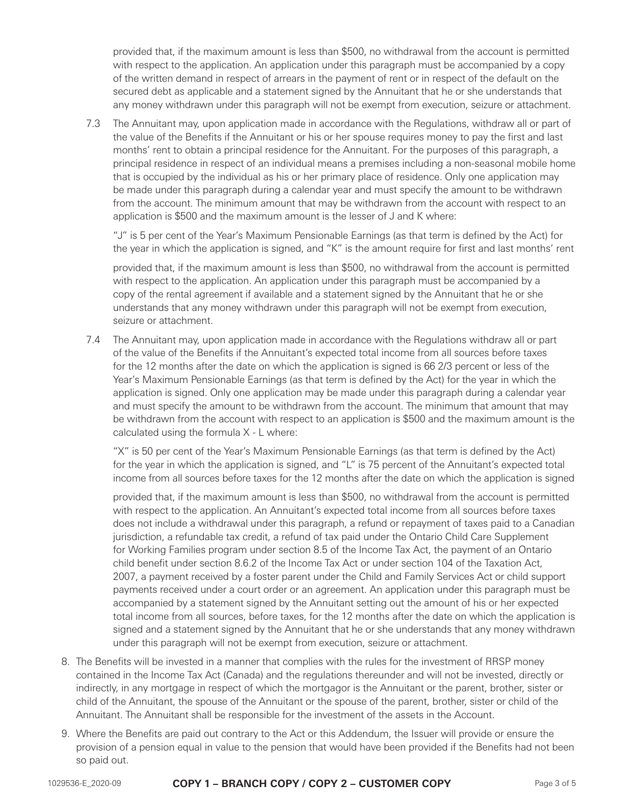provided that, if the maximum amount is less than \$500, no withdrawal from the account is permitted with respect to the application. An application under this paragraph must be accompanied by a copy of the written demand in respect of arrears in the payment of rent or in respect of the default on the secured debt as applicable and a statement signed by the Annuitant that he or she understands that any money withdrawn under this paragraph will not be exempt from execution, seizure or attachment.

7.3 The Annuitant may, upon application made in accordance with the Regulations, withdraw all or part of the value of the Benefits if the Annuitant or his or her spouse requires money to pay the first and last months' rent to obtain a principal residence for the Annuitant. For the purposes of this paragraph, a principal residence in respect of an individual means a premises including a non-seasonal mobile home that is occupied by the individual as his or her primary place of residence. Only one application may be made under this paragraph during a calendar year and must specify the amount to be withdrawn from the account. The minimum amount that may be withdrawn from the account with respect to an application is \$500 and the maximum amount is the lesser of J and K where:

"J" is 5 per cent of the Year's Maximum Pensionable Earnings (as that term is defined by the Act) for the year in which the application is signed, and "K" is the amount require for first and last months' rent

provided that, if the maximum amount is less than \$500, no withdrawal from the account is permitted with respect to the application. An application under this paragraph must be accompanied by a copy of the rental agreement if available and a statement signed by the Annuitant that he or she understands that any money withdrawn under this paragraph will not be exempt from execution, seizure or attachment.

7.4 The Annuitant may, upon application made in accordance with the Regulations withdraw all or part of the value of the Benefits if the Annuitant's expected total income from all sources before taxes for the 12 months after the date on which the application is signed is 66 2/3 percent or less of the Year's Maximum Pensionable Earnings (as that term is defined by the Act) for the year in which the application is signed. Only one application may be made under this paragraph during a calendar year and must specify the amount to be withdrawn from the account. The minimum that amount that may be withdrawn from the account with respect to an application is \$500 and the maximum amount is the calculated using the formula X - L where:

"X" is 50 per cent of the Year's Maximum Pensionable Earnings (as that term is defined by the Act) for the year in which the application is signed, and "L" is 75 percent of the Annuitant's expected total income from all sources before taxes for the 12 months after the date on which the application is signed

provided that, if the maximum amount is less than \$500, no withdrawal from the account is permitted with respect to the application. An Annuitant's expected total income from all sources before taxes does not include a withdrawal under this paragraph, a refund or repayment of taxes paid to a Canadian jurisdiction, a refundable tax credit, a refund of tax paid under the Ontario Child Care Supplement for Working Families program under section 8.5 of the Income Tax Act, the payment of an Ontario child benefit under section 8.6.2 of the Income Tax Act or under section 104 of the Taxation Act, 2007, a payment received by a foster parent under the Child and Family Services Act or child support payments received under a court order or an agreement. An application under this paragraph must be accompanied by a statement signed by the Annuitant setting out the amount of his or her expected total income from all sources, before taxes, for the 12 months after the date on which the application is signed and a statement signed by the Annuitant that he or she understands that any money withdrawn under this paragraph will not be exempt from execution, seizure or attachment.

- 8. The Benefits will be invested in a manner that complies with the rules for the investment of RRSP money contained in the Income Tax Act (Canada) and the regulations thereunder and will not be invested, directly or indirectly, in any mortgage in respect of which the mortgagor is the Annuitant or the parent, brother, sister or child of the Annuitant, the spouse of the Annuitant or the spouse of the parent, brother, sister or child of the Annuitant. The Annuitant shall be responsible for the investment of the assets in the Account.
- 9. Where the Benefits are paid out contrary to the Act or this Addendum, the Issuer will provide or ensure the provision of a pension equal in value to the pension that would have been provided if the Benefits had not been so paid out.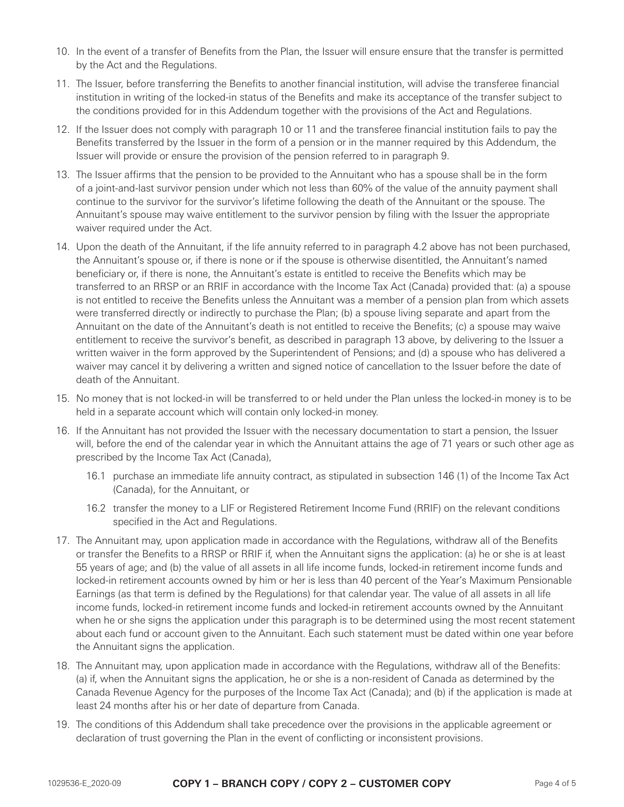- 10. In the event of a transfer of Benefits from the Plan, the Issuer will ensure ensure that the transfer is permitted by the Act and the Regulations.
- 11. The Issuer, before transferring the Benefits to another financial institution, will advise the transferee financial institution in writing of the locked-in status of the Benefits and make its acceptance of the transfer subject to the conditions provided for in this Addendum together with the provisions of the Act and Regulations.
- 12. If the Issuer does not comply with paragraph 10 or 11 and the transferee financial institution fails to pay the Benefits transferred by the Issuer in the form of a pension or in the manner required by this Addendum, the Issuer will provide or ensure the provision of the pension referred to in paragraph 9.
- 13. The Issuer affirms that the pension to be provided to the Annuitant who has a spouse shall be in the form of a joint-and-last survivor pension under which not less than 60% of the value of the annuity payment shall continue to the survivor for the survivor's lifetime following the death of the Annuitant or the spouse. The Annuitant's spouse may waive entitlement to the survivor pension by filing with the Issuer the appropriate waiver required under the Act.
- 14. Upon the death of the Annuitant, if the life annuity referred to in paragraph 4.2 above has not been purchased, the Annuitant's spouse or, if there is none or if the spouse is otherwise disentitled, the Annuitant's named beneficiary or, if there is none, the Annuitant's estate is entitled to receive the Benefits which may be transferred to an RRSP or an RRIF in accordance with the Income Tax Act (Canada) provided that: (a) a spouse is not entitled to receive the Benefits unless the Annuitant was a member of a pension plan from which assets were transferred directly or indirectly to purchase the Plan; (b) a spouse living separate and apart from the Annuitant on the date of the Annuitant's death is not entitled to receive the Benefits; (c) a spouse may waive entitlement to receive the survivor's benefit, as described in paragraph 13 above, by delivering to the Issuer a written waiver in the form approved by the Superintendent of Pensions; and (d) a spouse who has delivered a waiver may cancel it by delivering a written and signed notice of cancellation to the Issuer before the date of death of the Annuitant.
- 15. No money that is not locked-in will be transferred to or held under the Plan unless the locked-in money is to be held in a separate account which will contain only locked-in money.
- 16. If the Annuitant has not provided the Issuer with the necessary documentation to start a pension, the Issuer will, before the end of the calendar year in which the Annuitant attains the age of 71 years or such other age as prescribed by the Income Tax Act (Canada),
	- 16.1 purchase an immediate life annuity contract, as stipulated in subsection 146 (1) of the Income Tax Act (Canada), for the Annuitant, or
	- 16.2 transfer the money to a LIF or Registered Retirement Income Fund (RRIF) on the relevant conditions specified in the Act and Regulations.
- 17. The Annuitant may, upon application made in accordance with the Regulations, withdraw all of the Benefits or transfer the Benefits to a RRSP or RRIF if, when the Annuitant signs the application: (a) he or she is at least 55 years of age; and (b) the value of all assets in all life income funds, locked-in retirement income funds and locked-in retirement accounts owned by him or her is less than 40 percent of the Year's Maximum Pensionable Earnings (as that term is defined by the Regulations) for that calendar year. The value of all assets in all life income funds, locked-in retirement income funds and locked-in retirement accounts owned by the Annuitant when he or she signs the application under this paragraph is to be determined using the most recent statement about each fund or account given to the Annuitant. Each such statement must be dated within one year before the Annuitant signs the application.
- 18. The Annuitant may, upon application made in accordance with the Regulations, withdraw all of the Benefits: (a) if, when the Annuitant signs the application, he or she is a non-resident of Canada as determined by the Canada Revenue Agency for the purposes of the Income Tax Act (Canada); and (b) if the application is made at least 24 months after his or her date of departure from Canada.
- 19. The conditions of this Addendum shall take precedence over the provisions in the applicable agreement or declaration of trust governing the Plan in the event of conflicting or inconsistent provisions.